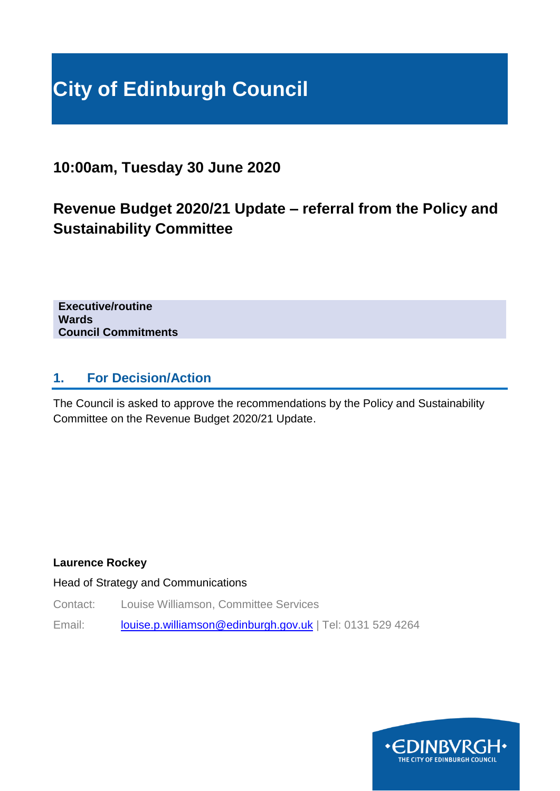# **City of Edinburgh Council**

# **10:00am, Tuesday 30 June 2020**

# **Revenue Budget 2020/21 Update – referral from the Policy and Sustainability Committee**

**Executive/routine Wards Council Commitments**

## **1. For Decision/Action**

The Council is asked to approve the recommendations by the Policy and Sustainability Committee on the Revenue Budget 2020/21 Update.

#### **Laurence Rockey**

Head of Strategy and Communications

Contact: Louise Williamson, Committee Services

Email: [louise.p.williamson@edinburgh.gov.uk](mailto:louise.p.williamson@edinburgh.gov.uk) | Tel: 0131 529 4264

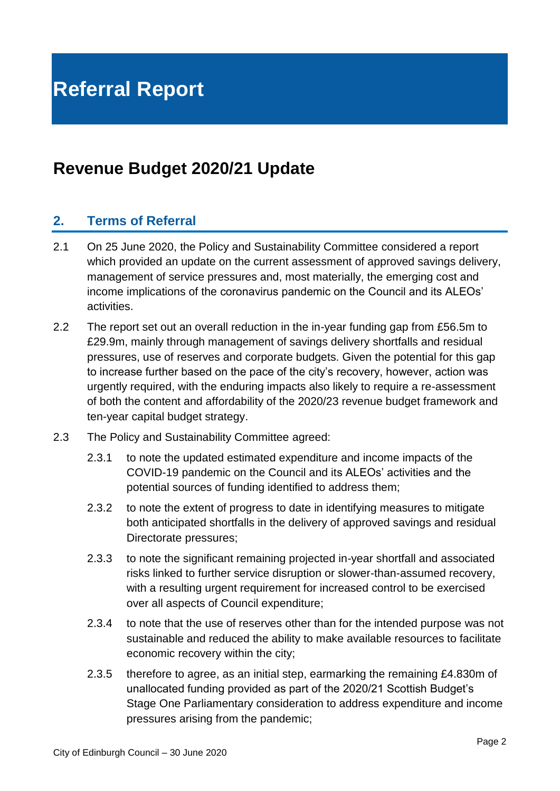# **Revenue Budget 2020/21 Update**

# **2. Terms of Referral**

- 2.1 On 25 June 2020, the Policy and Sustainability Committee considered a report which provided an update on the current assessment of approved savings delivery, management of service pressures and, most materially, the emerging cost and income implications of the coronavirus pandemic on the Council and its ALEOs' activities.
- 2.2 The report set out an overall reduction in the in-year funding gap from £56.5m to £29.9m, mainly through management of savings delivery shortfalls and residual pressures, use of reserves and corporate budgets. Given the potential for this gap to increase further based on the pace of the city's recovery, however, action was urgently required, with the enduring impacts also likely to require a re-assessment of both the content and affordability of the 2020/23 revenue budget framework and ten-year capital budget strategy.
- 2.3 The Policy and Sustainability Committee agreed:
	- 2.3.1 to note the updated estimated expenditure and income impacts of the COVID-19 pandemic on the Council and its ALEOs' activities and the potential sources of funding identified to address them;
	- 2.3.2 to note the extent of progress to date in identifying measures to mitigate both anticipated shortfalls in the delivery of approved savings and residual Directorate pressures;
	- 2.3.3 to note the significant remaining projected in-year shortfall and associated risks linked to further service disruption or slower-than-assumed recovery, with a resulting urgent requirement for increased control to be exercised over all aspects of Council expenditure;
	- 2.3.4 to note that the use of reserves other than for the intended purpose was not sustainable and reduced the ability to make available resources to facilitate economic recovery within the city;
	- 2.3.5 therefore to agree, as an initial step, earmarking the remaining £4.830m of unallocated funding provided as part of the 2020/21 Scottish Budget's Stage One Parliamentary consideration to address expenditure and income pressures arising from the pandemic;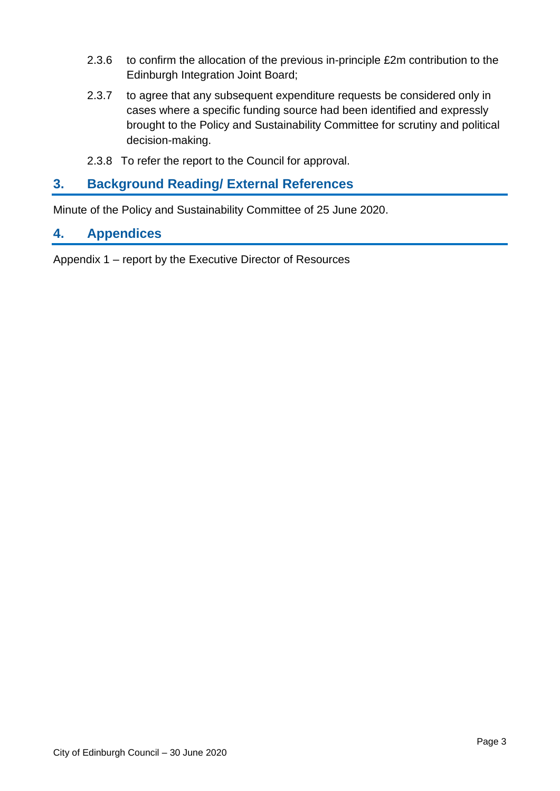- 2.3.6 to confirm the allocation of the previous in-principle £2m contribution to the Edinburgh Integration Joint Board;
- 2.3.7 to agree that any subsequent expenditure requests be considered only in cases where a specific funding source had been identified and expressly brought to the Policy and Sustainability Committee for scrutiny and political decision-making.
- 2.3.8 To refer the report to the Council for approval.

## **3. Background Reading/ External References**

Minute of the Policy and Sustainability Committee of 25 June 2020.

#### **4. Appendices**

Appendix 1 – report by the Executive Director of Resources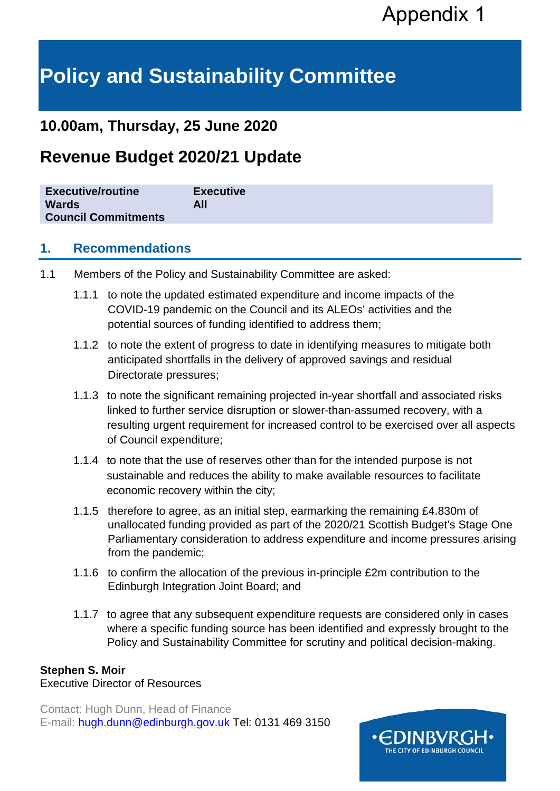# **Policy and Sustainability Committee**

# **10.00am, Thursday, 25 June 2020**

# **Revenue Budget 2020/21 Update**

| <b>Wards</b><br>All<br><b>Council Commitments</b> | <b>Executive/routine</b> | <b>Executive</b> |
|---------------------------------------------------|--------------------------|------------------|
|---------------------------------------------------|--------------------------|------------------|

### **1. Recommendations**

- 1.1 Members of the Policy and Sustainability Committee are asked:
	- 1.1.1 to note the updated estimated expenditure and income impacts of the COVID-19 pandemic on the Council and its ALEOs' activities and the potential sources of funding identified to address them;
	- 1.1.2 to note the extent of progress to date in identifying measures to mitigate both anticipated shortfalls in the delivery of approved savings and residual Directorate pressures;
	- 1.1.3 to note the significant remaining projected in-year shortfall and associated risks linked to further service disruption or slower-than-assumed recovery, with a resulting urgent requirement for increased control to be exercised over all aspects of Council expenditure;
	- 1.1.4 to note that the use of reserves other than for the intended purpose is not sustainable and reduces the ability to make available resources to facilitate economic recovery within the city;
	- 1.1.5 therefore to agree, as an initial step, earmarking the remaining £4.830m of unallocated funding provided as part of the 2020/21 Scottish Budget's Stage One Parliamentary consideration to address expenditure and income pressures arising from the pandemic;
	- 1.1.6 to confirm the allocation of the previous in-principle £2m contribution to the Edinburgh Integration Joint Board; and
	- 1.1.7 to agree that any subsequent expenditure requests are considered only in cases where a specific funding source has been identified and expressly brought to the Policy and Sustainability Committee for scrutiny and political decision-making.

#### **Stephen S. Moir**

Executive Director of Resources

Contact: Hugh Dunn, Head of Finance E-mail: [hugh.dunn@edinburgh.gov.uk](mailto:hugh.dunn@edinburgh.gov.uk) Tel: 0131 469 3150

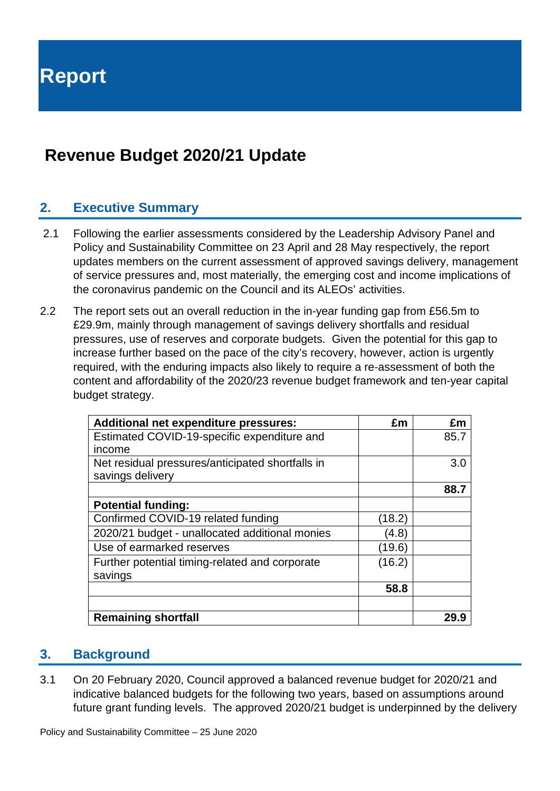# **Revenue Budget 2020/21 Update**

# **2. Executive Summary**

- 2.1 Following the earlier assessments considered by the Leadership Advisory Panel and Policy and Sustainability Committee on 23 April and 28 May respectively, the report updates members on the current assessment of approved savings delivery, management of service pressures and, most materially, the emerging cost and income implications of the coronavirus pandemic on the Council and its ALEOs' activities.
- 2.2 The report sets out an overall reduction in the in-year funding gap from £56.5m to £29.9m, mainly through management of savings delivery shortfalls and residual pressures, use of reserves and corporate budgets. Given the potential for this gap to increase further based on the pace of the city's recovery, however, action is urgently required, with the enduring impacts also likely to require a re-assessment of both the content and affordability of the 2020/23 revenue budget framework and ten-year capital budget strategy.

| <b>Additional net expenditure pressures:</b>     | £m     | £m   |
|--------------------------------------------------|--------|------|
| Estimated COVID-19-specific expenditure and      |        | 85.7 |
| income                                           |        |      |
| Net residual pressures/anticipated shortfalls in |        | 3.0  |
| savings delivery                                 |        |      |
|                                                  |        | 88.7 |
| <b>Potential funding:</b>                        |        |      |
| Confirmed COVID-19 related funding               | (18.2) |      |
| 2020/21 budget - unallocated additional monies   | (4.8)  |      |
| Use of earmarked reserves                        | (19.6) |      |
| Further potential timing-related and corporate   | (16.2) |      |
| savings                                          |        |      |
|                                                  | 58.8   |      |
|                                                  |        |      |
| <b>Remaining shortfall</b>                       |        | 29.9 |

# **3. Background**

3.1 On 20 February 2020, Council approved a balanced revenue budget for 2020/21 and indicative balanced budgets for the following two years, based on assumptions around future grant funding levels. The approved 2020/21 budget is underpinned by the delivery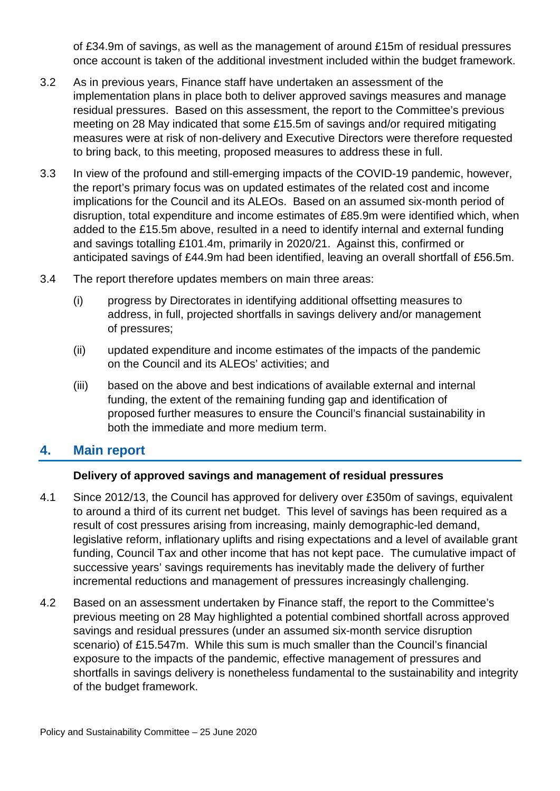of £34.9m of savings, as well as the management of around £15m of residual pressures once account is taken of the additional investment included within the budget framework.

- 3.2 As in previous years, Finance staff have undertaken an assessment of the implementation plans in place both to deliver approved savings measures and manage residual pressures. Based on this assessment, the report to the Committee's previous meeting on 28 May indicated that some £15.5m of savings and/or required mitigating measures were at risk of non-delivery and Executive Directors were therefore requested to bring back, to this meeting, proposed measures to address these in full.
- 3.3 In view of the profound and still-emerging impacts of the COVID-19 pandemic, however, the report's primary focus was on updated estimates of the related cost and income implications for the Council and its ALEOs. Based on an assumed six-month period of disruption, total expenditure and income estimates of £85.9m were identified which, when added to the £15.5m above, resulted in a need to identify internal and external funding and savings totalling £101.4m, primarily in 2020/21. Against this, confirmed or anticipated savings of £44.9m had been identified, leaving an overall shortfall of £56.5m.
- 3.4 The report therefore updates members on main three areas:
	- (i) progress by Directorates in identifying additional offsetting measures to address, in full, projected shortfalls in savings delivery and/or management of pressures;
	- (ii) updated expenditure and income estimates of the impacts of the pandemic on the Council and its ALEOs' activities; and
	- (iii) based on the above and best indications of available external and internal funding, the extent of the remaining funding gap and identification of proposed further measures to ensure the Council's financial sustainability in both the immediate and more medium term.

#### **4. Main report**

#### **Delivery of approved savings and management of residual pressures**

- 4.1 Since 2012/13, the Council has approved for delivery over £350m of savings, equivalent to around a third of its current net budget. This level of savings has been required as a result of cost pressures arising from increasing, mainly demographic-led demand, legislative reform, inflationary uplifts and rising expectations and a level of available grant funding, Council Tax and other income that has not kept pace. The cumulative impact of successive years' savings requirements has inevitably made the delivery of further incremental reductions and management of pressures increasingly challenging.
- 4.2 Based on an assessment undertaken by Finance staff, the report to the Committee's previous meeting on 28 May highlighted a potential combined shortfall across approved savings and residual pressures (under an assumed six-month service disruption scenario) of £15.547m. While this sum is much smaller than the Council's financial exposure to the impacts of the pandemic, effective management of pressures and shortfalls in savings delivery is nonetheless fundamental to the sustainability and integrity of the budget framework.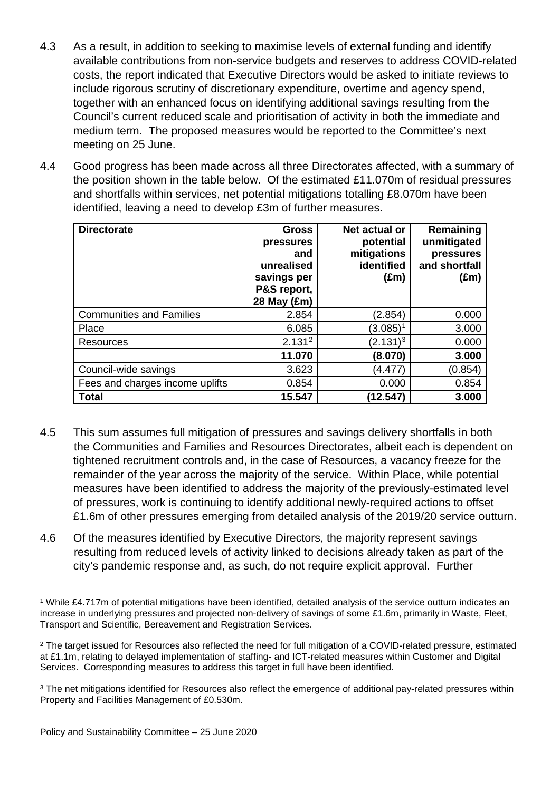- 4.3 As a result, in addition to seeking to maximise levels of external funding and identify available contributions from non-service budgets and reserves to address COVID-related costs, the report indicated that Executive Directors would be asked to initiate reviews to include rigorous scrutiny of discretionary expenditure, overtime and agency spend, together with an enhanced focus on identifying additional savings resulting from the Council's current reduced scale and prioritisation of activity in both the immediate and medium term. The proposed measures would be reported to the Committee's next meeting on 25 June.
- 4.4 Good progress has been made across all three Directorates affected, with a summary of the position shown in the table below. Of the estimated £11.070m of residual pressures and shortfalls within services, net potential mitigations totalling £8.070m have been identified, leaving a need to develop £3m of further measures.

| <b>Directorate</b>              | <b>Gross</b><br>pressures<br>and<br>unrealised<br>savings per<br>P&S report,<br>28 May (£m) | Net actual or<br>potential<br>mitigations<br>identified<br>$(\text{Em})$ | Remaining<br>unmitigated<br>pressures<br>and shortfall<br>$(\text{Em})$ |
|---------------------------------|---------------------------------------------------------------------------------------------|--------------------------------------------------------------------------|-------------------------------------------------------------------------|
| <b>Communities and Families</b> | 2.854                                                                                       | (2.854)                                                                  | 0.000                                                                   |
| Place                           | 6.085                                                                                       | $(3.085)^1$                                                              | 3.000                                                                   |
| Resources                       | 2.131 <sup>2</sup>                                                                          | $(2.131)^3$                                                              | 0.000                                                                   |
|                                 | 11.070                                                                                      | (8.070)                                                                  | 3.000                                                                   |
| Council-wide savings            | 3.623                                                                                       | (4.477)                                                                  | (0.854)                                                                 |
| Fees and charges income uplifts | 0.854                                                                                       | 0.000                                                                    | 0.854                                                                   |
| <b>Total</b>                    | 15.547                                                                                      | (12.547)                                                                 | 3.000                                                                   |

- 4.5 This sum assumes full mitigation of pressures and savings delivery shortfalls in both the Communities and Families and Resources Directorates, albeit each is dependent on tightened recruitment controls and, in the case of Resources, a vacancy freeze for the remainder of the year across the majority of the service. Within Place, while potential measures have been identified to address the majority of the previously-estimated level of pressures, work is continuing to identify additional newly-required actions to offset £1.6m of other pressures emerging from detailed analysis of the 2019/20 service outturn.
- 4.6 Of the measures identified by Executive Directors, the majority represent savings resulting from reduced levels of activity linked to decisions already taken as part of the city's pandemic response and, as such, do not require explicit approval. Further

<span id="page-6-0"></span> <sup>1</sup> While £4.717m of potential mitigations have been identified, detailed analysis of the service outturn indicates an increase in underlying pressures and projected non-delivery of savings of some £1.6m, primarily in Waste, Fleet, Transport and Scientific, Bereavement and Registration Services.

<span id="page-6-1"></span><sup>&</sup>lt;sup>2</sup> The target issued for Resources also reflected the need for full mitigation of a COVID-related pressure, estimated at £1.1m, relating to delayed implementation of staffing- and ICT-related measures within Customer and Digital Services. Corresponding measures to address this target in full have been identified.

<span id="page-6-2"></span><sup>&</sup>lt;sup>3</sup> The net mitigations identified for Resources also reflect the emergence of additional pay-related pressures within Property and Facilities Management of £0.530m.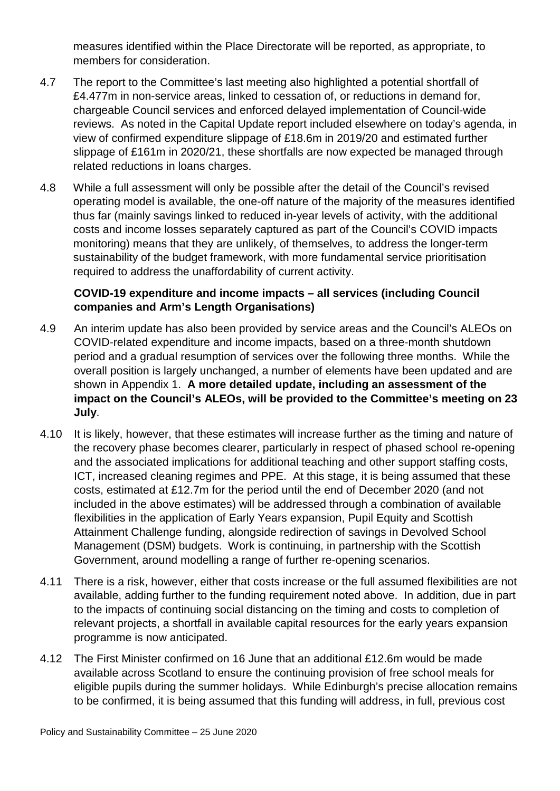measures identified within the Place Directorate will be reported, as appropriate, to members for consideration.

- 4.7 The report to the Committee's last meeting also highlighted a potential shortfall of £4.477m in non-service areas, linked to cessation of, or reductions in demand for, chargeable Council services and enforced delayed implementation of Council-wide reviews. As noted in the Capital Update report included elsewhere on today's agenda, in view of confirmed expenditure slippage of £18.6m in 2019/20 and estimated further slippage of £161m in 2020/21, these shortfalls are now expected be managed through related reductions in loans charges.
- 4.8 While a full assessment will only be possible after the detail of the Council's revised operating model is available, the one-off nature of the majority of the measures identified thus far (mainly savings linked to reduced in-year levels of activity, with the additional costs and income losses separately captured as part of the Council's COVID impacts monitoring) means that they are unlikely, of themselves, to address the longer-term sustainability of the budget framework, with more fundamental service prioritisation required to address the unaffordability of current activity.

#### **COVID-19 expenditure and income impacts – all services (including Council companies and Arm's Length Organisations)**

- 4.9 An interim update has also been provided by service areas and the Council's ALEOs on COVID-related expenditure and income impacts, based on a three-month shutdown period and a gradual resumption of services over the following three months. While the overall position is largely unchanged, a number of elements have been updated and are shown in Appendix 1. **A more detailed update, including an assessment of the impact on the Council's ALEOs, will be provided to the Committee's meeting on 23 July**.
- 4.10 It is likely, however, that these estimates will increase further as the timing and nature of the recovery phase becomes clearer, particularly in respect of phased school re-opening and the associated implications for additional teaching and other support staffing costs, ICT, increased cleaning regimes and PPE. At this stage, it is being assumed that these costs, estimated at £12.7m for the period until the end of December 2020 (and not included in the above estimates) will be addressed through a combination of available flexibilities in the application of Early Years expansion, Pupil Equity and Scottish Attainment Challenge funding, alongside redirection of savings in Devolved School Management (DSM) budgets. Work is continuing, in partnership with the Scottish Government, around modelling a range of further re-opening scenarios.
- 4.11 There is a risk, however, either that costs increase or the full assumed flexibilities are not available, adding further to the funding requirement noted above. In addition, due in part to the impacts of continuing social distancing on the timing and costs to completion of relevant projects, a shortfall in available capital resources for the early years expansion programme is now anticipated.
- 4.12 The First Minister confirmed on 16 June that an additional £12.6m would be made available across Scotland to ensure the continuing provision of free school meals for eligible pupils during the summer holidays. While Edinburgh's precise allocation remains to be confirmed, it is being assumed that this funding will address, in full, previous cost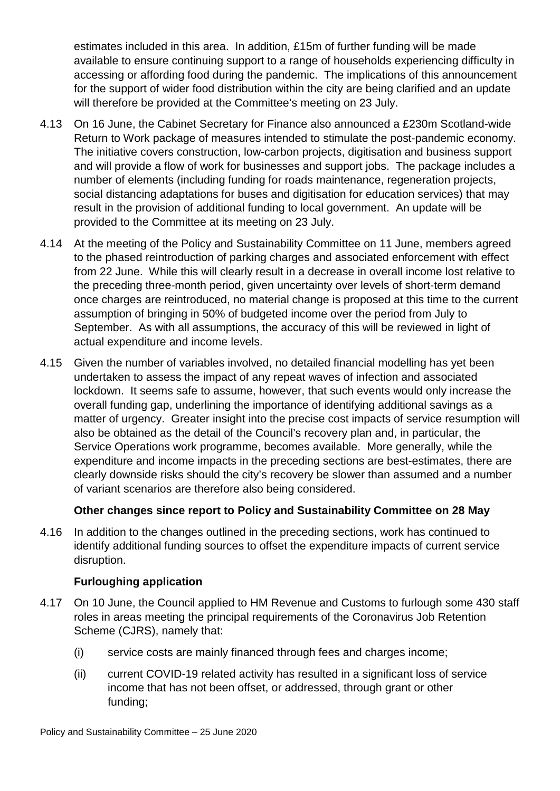estimates included in this area. In addition, £15m of further funding will be made available to ensure continuing support to a range of households experiencing difficulty in accessing or affording food during the pandemic. The implications of this announcement for the support of wider food distribution within the city are being clarified and an update will therefore be provided at the Committee's meeting on 23 July.

- 4.13 On 16 June, the Cabinet Secretary for Finance also announced a £230m Scotland-wide Return to Work package of measures intended to stimulate the post-pandemic economy. The initiative covers construction, low-carbon projects, digitisation and business support and will provide a flow of work for businesses and support jobs. The package includes a number of elements (including funding for roads maintenance, regeneration projects, social distancing adaptations for buses and digitisation for education services) that may result in the provision of additional funding to local government. An update will be provided to the Committee at its meeting on 23 July.
- 4.14 At the meeting of the Policy and Sustainability Committee on 11 June, members agreed to the phased reintroduction of parking charges and associated enforcement with effect from 22 June. While this will clearly result in a decrease in overall income lost relative to the preceding three-month period, given uncertainty over levels of short-term demand once charges are reintroduced, no material change is proposed at this time to the current assumption of bringing in 50% of budgeted income over the period from July to September. As with all assumptions, the accuracy of this will be reviewed in light of actual expenditure and income levels.
- 4.15 Given the number of variables involved, no detailed financial modelling has yet been undertaken to assess the impact of any repeat waves of infection and associated lockdown. It seems safe to assume, however, that such events would only increase the overall funding gap, underlining the importance of identifying additional savings as a matter of urgency. Greater insight into the precise cost impacts of service resumption will also be obtained as the detail of the Council's recovery plan and, in particular, the Service Operations work programme, becomes available. More generally, while the expenditure and income impacts in the preceding sections are best-estimates, there are clearly downside risks should the city's recovery be slower than assumed and a number of variant scenarios are therefore also being considered.

#### **Other changes since report to Policy and Sustainability Committee on 28 May**

4.16 In addition to the changes outlined in the preceding sections, work has continued to identify additional funding sources to offset the expenditure impacts of current service disruption.

#### **Furloughing application**

- 4.17 On 10 June, the Council applied to HM Revenue and Customs to furlough some 430 staff roles in areas meeting the principal requirements of the Coronavirus Job Retention Scheme (CJRS), namely that:
	- (i) service costs are mainly financed through fees and charges income;
	- (ii) current COVID-19 related activity has resulted in a significant loss of service income that has not been offset, or addressed, through grant or other funding;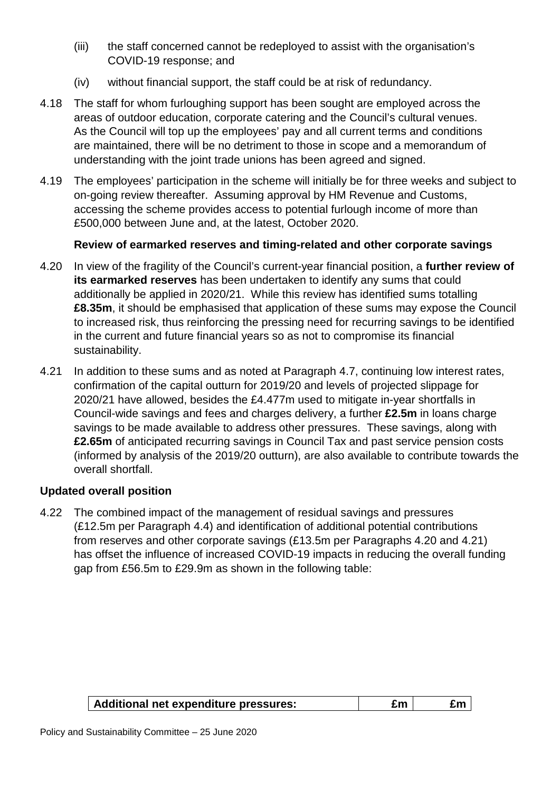- (iii) the staff concerned cannot be redeployed to assist with the organisation's COVID-19 response; and
- (iv) without financial support, the staff could be at risk of redundancy.
- 4.18 The staff for whom furloughing support has been sought are employed across the areas of outdoor education, corporate catering and the Council's cultural venues. As the Council will top up the employees' pay and all current terms and conditions are maintained, there will be no detriment to those in scope and a memorandum of understanding with the joint trade unions has been agreed and signed.
- 4.19 The employees' participation in the scheme will initially be for three weeks and subject to on-going review thereafter. Assuming approval by HM Revenue and Customs, accessing the scheme provides access to potential furlough income of more than £500,000 between June and, at the latest, October 2020.

#### **Review of earmarked reserves and timing-related and other corporate savings**

- 4.20 In view of the fragility of the Council's current-year financial position, a **further review of its earmarked reserves** has been undertaken to identify any sums that could additionally be applied in 2020/21. While this review has identified sums totalling **£8.35m**, it should be emphasised that application of these sums may expose the Council to increased risk, thus reinforcing the pressing need for recurring savings to be identified in the current and future financial years so as not to compromise its financial sustainability.
- 4.21 In addition to these sums and as noted at Paragraph 4.7, continuing low interest rates, confirmation of the capital outturn for 2019/20 and levels of projected slippage for 2020/21 have allowed, besides the £4.477m used to mitigate in-year shortfalls in Council-wide savings and fees and charges delivery, a further **£2.5m** in loans charge savings to be made available to address other pressures. These savings, along with **£2.65m** of anticipated recurring savings in Council Tax and past service pension costs (informed by analysis of the 2019/20 outturn), are also available to contribute towards the overall shortfall.

#### **Updated overall position**

4.22 The combined impact of the management of residual savings and pressures (£12.5m per Paragraph 4.4) and identification of additional potential contributions from reserves and other corporate savings (£13.5m per Paragraphs 4.20 and 4.21) has offset the influence of increased COVID-19 impacts in reducing the overall funding gap from £56.5m to £29.9m as shown in the following table:

| Additional net expenditure pressures: | £m | Ξm |
|---------------------------------------|----|----|
|---------------------------------------|----|----|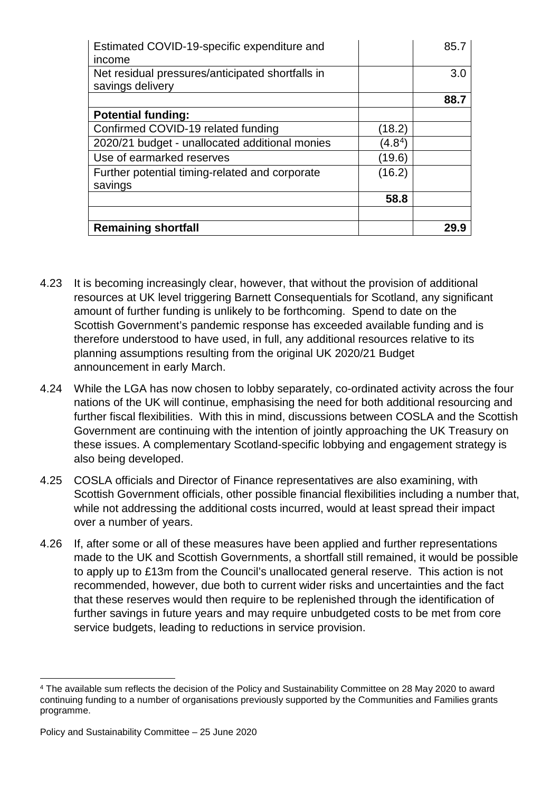| Estimated COVID-19-specific expenditure and<br>income                |           | 85.7 |
|----------------------------------------------------------------------|-----------|------|
| Net residual pressures/anticipated shortfalls in<br>savings delivery |           | 3.0  |
|                                                                      |           | 88.7 |
| <b>Potential funding:</b>                                            |           |      |
| Confirmed COVID-19 related funding                                   | (18.2)    |      |
| 2020/21 budget - unallocated additional monies                       | $(4.8^4)$ |      |
| Use of earmarked reserves                                            | (19.6)    |      |
| Further potential timing-related and corporate                       | (16.2)    |      |
| savings                                                              |           |      |
|                                                                      | 58.8      |      |
|                                                                      |           |      |
| <b>Remaining shortfall</b>                                           |           |      |

- 4.23 It is becoming increasingly clear, however, that without the provision of additional resources at UK level triggering Barnett Consequentials for Scotland, any significant amount of further funding is unlikely to be forthcoming. Spend to date on the Scottish Government's pandemic response has exceeded available funding and is therefore understood to have used, in full, any additional resources relative to its planning assumptions resulting from the original UK 2020/21 Budget announcement in early March.
- 4.24 While the LGA has now chosen to lobby separately, co-ordinated activity across the four nations of the UK will continue, emphasising the need for both additional resourcing and further fiscal flexibilities. With this in mind, discussions between COSLA and the Scottish Government are continuing with the intention of jointly approaching the UK Treasury on these issues. A complementary Scotland-specific lobbying and engagement strategy is also being developed.
- 4.25 COSLA officials and Director of Finance representatives are also examining, with Scottish Government officials, other possible financial flexibilities including a number that, while not addressing the additional costs incurred, would at least spread their impact over a number of years.
- 4.26 If, after some or all of these measures have been applied and further representations made to the UK and Scottish Governments, a shortfall still remained, it would be possible to apply up to £13m from the Council's unallocated general reserve. This action is not recommended, however, due both to current wider risks and uncertainties and the fact that these reserves would then require to be replenished through the identification of further savings in future years and may require unbudgeted costs to be met from core service budgets, leading to reductions in service provision.

<span id="page-10-0"></span> <sup>4</sup> The available sum reflects the decision of the Policy and Sustainability Committee on 28 May 2020 to award continuing funding to a number of organisations previously supported by the Communities and Families grants programme.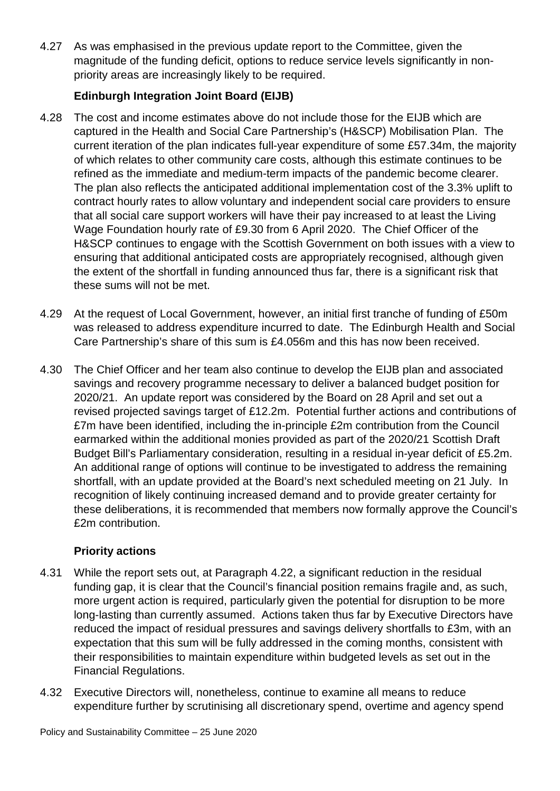4.27 As was emphasised in the previous update report to the Committee, given the magnitude of the funding deficit, options to reduce service levels significantly in nonpriority areas are increasingly likely to be required.

#### **Edinburgh Integration Joint Board (EIJB)**

- 4.28 The cost and income estimates above do not include those for the EIJB which are captured in the Health and Social Care Partnership's (H&SCP) Mobilisation Plan. The current iteration of the plan indicates full-year expenditure of some £57.34m, the majority of which relates to other community care costs, although this estimate continues to be refined as the immediate and medium-term impacts of the pandemic become clearer. The plan also reflects the anticipated additional implementation cost of the 3.3% uplift to contract hourly rates to allow voluntary and independent social care providers to ensure that all social care support workers will have their pay increased to at least the Living Wage Foundation hourly rate of £9.30 from 6 April 2020. The Chief Officer of the H&SCP continues to engage with the Scottish Government on both issues with a view to ensuring that additional anticipated costs are appropriately recognised, although given the extent of the shortfall in funding announced thus far, there is a significant risk that these sums will not be met.
- 4.29 At the request of Local Government, however, an initial first tranche of funding of £50m was released to address expenditure incurred to date. The Edinburgh Health and Social Care Partnership's share of this sum is £4.056m and this has now been received.
- 4.30 The Chief Officer and her team also continue to develop the EIJB plan and associated savings and recovery programme necessary to deliver a balanced budget position for 2020/21. An update report was considered by the Board on 28 April and set out a revised projected savings target of £12.2m. Potential further actions and contributions of £7m have been identified, including the in-principle £2m contribution from the Council earmarked within the additional monies provided as part of the 2020/21 Scottish Draft Budget Bill's Parliamentary consideration, resulting in a residual in-year deficit of £5.2m. An additional range of options will continue to be investigated to address the remaining shortfall, with an update provided at the Board's next scheduled meeting on 21 July. In recognition of likely continuing increased demand and to provide greater certainty for these deliberations, it is recommended that members now formally approve the Council's £2m contribution.

### **Priority actions**

- 4.31 While the report sets out, at Paragraph 4.22, a significant reduction in the residual funding gap, it is clear that the Council's financial position remains fragile and, as such, more urgent action is required, particularly given the potential for disruption to be more long-lasting than currently assumed. Actions taken thus far by Executive Directors have reduced the impact of residual pressures and savings delivery shortfalls to £3m, with an expectation that this sum will be fully addressed in the coming months, consistent with their responsibilities to maintain expenditure within budgeted levels as set out in the Financial Regulations.
- 4.32 Executive Directors will, nonetheless, continue to examine all means to reduce expenditure further by scrutinising all discretionary spend, overtime and agency spend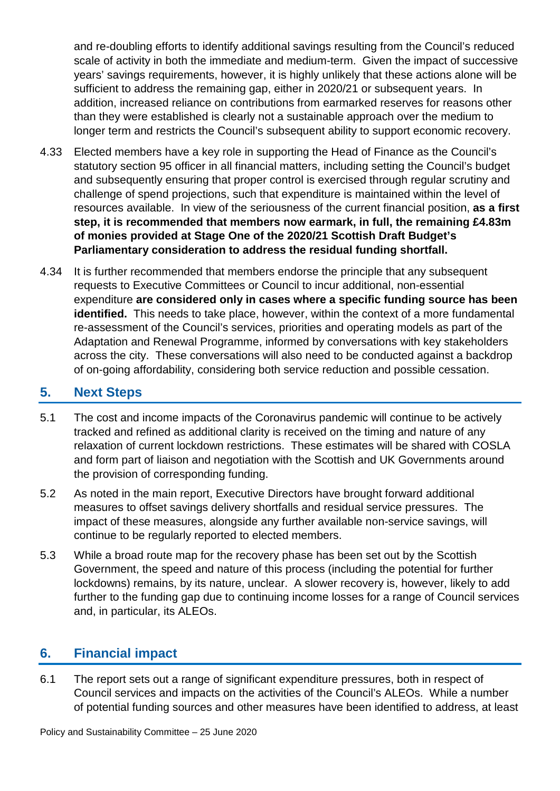and re-doubling efforts to identify additional savings resulting from the Council's reduced scale of activity in both the immediate and medium-term. Given the impact of successive years' savings requirements, however, it is highly unlikely that these actions alone will be sufficient to address the remaining gap, either in 2020/21 or subsequent years. In addition, increased reliance on contributions from earmarked reserves for reasons other than they were established is clearly not a sustainable approach over the medium to longer term and restricts the Council's subsequent ability to support economic recovery.

- 4.33 Elected members have a key role in supporting the Head of Finance as the Council's statutory section 95 officer in all financial matters, including setting the Council's budget and subsequently ensuring that proper control is exercised through regular scrutiny and challenge of spend projections, such that expenditure is maintained within the level of resources available. In view of the seriousness of the current financial position, **as a first step, it is recommended that members now earmark, in full, the remaining £4.83m of monies provided at Stage One of the 2020/21 Scottish Draft Budget's Parliamentary consideration to address the residual funding shortfall.**
- 4.34 It is further recommended that members endorse the principle that any subsequent requests to Executive Committees or Council to incur additional, non-essential expenditure **are considered only in cases where a specific funding source has been identified.** This needs to take place, however, within the context of a more fundamental re-assessment of the Council's services, priorities and operating models as part of the Adaptation and Renewal Programme, informed by conversations with key stakeholders across the city. These conversations will also need to be conducted against a backdrop of on-going affordability, considering both service reduction and possible cessation.

# **5. Next Steps**

- 5.1 The cost and income impacts of the Coronavirus pandemic will continue to be actively tracked and refined as additional clarity is received on the timing and nature of any relaxation of current lockdown restrictions. These estimates will be shared with COSLA and form part of liaison and negotiation with the Scottish and UK Governments around the provision of corresponding funding.
- 5.2 As noted in the main report, Executive Directors have brought forward additional measures to offset savings delivery shortfalls and residual service pressures. The impact of these measures, alongside any further available non-service savings, will continue to be regularly reported to elected members.
- 5.3 While a broad route map for the recovery phase has been set out by the Scottish Government, the speed and nature of this process (including the potential for further lockdowns) remains, by its nature, unclear. A slower recovery is, however, likely to add further to the funding gap due to continuing income losses for a range of Council services and, in particular, its ALEOs.

# **6. Financial impact**

6.1 The report sets out a range of significant expenditure pressures, both in respect of Council services and impacts on the activities of the Council's ALEOs. While a number of potential funding sources and other measures have been identified to address, at least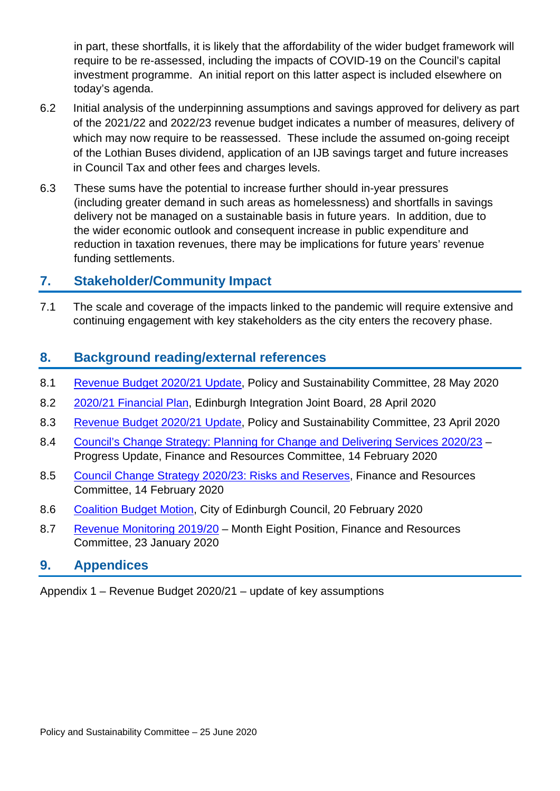in part, these shortfalls, it is likely that the affordability of the wider budget framework will require to be re-assessed, including the impacts of COVID-19 on the Council's capital investment programme. An initial report on this latter aspect is included elsewhere on today's agenda.

- 6.2 Initial analysis of the underpinning assumptions and savings approved for delivery as part of the 2021/22 and 2022/23 revenue budget indicates a number of measures, delivery of which may now require to be reassessed. These include the assumed on-going receipt of the Lothian Buses dividend, application of an IJB savings target and future increases in Council Tax and other fees and charges levels.
- 6.3 These sums have the potential to increase further should in-year pressures (including greater demand in such areas as homelessness) and shortfalls in savings delivery not be managed on a sustainable basis in future years. In addition, due to the wider economic outlook and consequent increase in public expenditure and reduction in taxation revenues, there may be implications for future years' revenue funding settlements.

## **7. Stakeholder/Community Impact**

7.1 The scale and coverage of the impacts linked to the pandemic will require extensive and continuing engagement with key stakeholders as the city enters the recovery phase.

## **8. Background reading/external references**

- 8.1 [Revenue Budget 2020/21 Update,](https://democracy.edinburgh.gov.uk/documents/s24143/6.4%20-%20Revenue%20Budget%20Update%2020.21.pdf) Policy and Sustainability Committee, 28 May 2020
- 8.2 [2020/21 Financial Plan,](https://democracy.edinburgh.gov.uk/documents/s23888/6.1%20-%20Financial%20Plan%202020-21.pdf) Edinburgh Integration Joint Board, 28 April 2020
- 8.3 [Revenue Budget 2020/21 Update,](https://democracy.edinburgh.gov.uk/documents/s23895/11.1%20Public%20Revenue%20Budget%202020-21%20Update.pdf) Policy and Sustainability Committee, 23 April 2020
- 8.4 [Council's Change Strategy: Planning for Change and Delivering Services 2020/23](https://democracy.edinburgh.gov.uk/documents/s13866/Item%207.1%20-%20Councils%20Change%20Strategy%20Planning%20for%20Change%20and%20Delivering%20Services%20202023%20-%20Progress.pdf) Progress Update, Finance and Resources Committee, 14 February 2020
- 8.5 Council Change Strategy [2020/23: Risks and Reserves,](https://democracy.edinburgh.gov.uk/documents/s13861/Item%207.2%20-%20Council%20Change%20Strategy%202020-23%20Risks%20and%20Reserves.pdf) Finance and Resources Committee, 14 February 2020
- 8.6 [Coalition Budget Motion,](https://democracy.edinburgh.gov.uk/documents/s14355/Coalition%20Budget%20Motion.pdf) City of Edinburgh Council, 20 February 2020
- 8.7 [Revenue Monitoring 2019/20](https://democracy.edinburgh.gov.uk/documents/s12880/Item%207.1%20-%20Revenue%20Monitoring%20M8%20Report.pdf) Month Eight Position, Finance and Resources Committee, 23 January 2020

#### **9. Appendices**

Appendix 1 – Revenue Budget 2020/21 – update of key assumptions